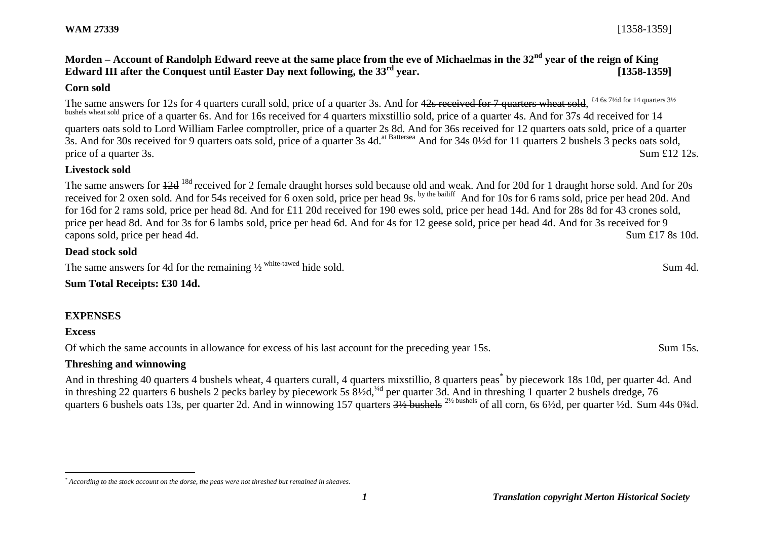**WAM 27339** [1358-1359]

**Morden – Account of Randolph Edward reeve at the same place from the eve of Michaelmas in the 32nd year of the reign of King Edward III after the Conquest until Easter Day next following, the 33rd year. [1358-1359]**

#### **Corn sold**

The same answers for 12s for 4 quarters curall sold, price of a quarter 3s. And for 42s received for 7 quarters wheat sold, <sup>£4 6s 71/2d for 14 quarters 31/2</sup> bushels wheat sold price of a quarter 6s. And for 16s received for 4 quarters mixstillio sold, price of a quarter 4s. And for 37s 4d received for 14 quarters oats sold to Lord William Farlee comptroller, price of a quarter 2s 8d. And for 36s received for 12 quarters oats sold, price of a quarter 3s. And for 30s received for 9 quarters oats sold, price of a quarter 3s 4d.<sup>at Battersea</sup> And for 34s 0½d for 11 quarters 2 bushels 3 pecks oats sold, price of a quarter 3s. Sum £12 12s.

### **Livestock sold**

The same answers for  $\frac{12d}{18d}$  received for 2 female draught horses sold because old and weak. And for 20d for 1 draught horse sold. And for 20s received for 2 oxen sold. And for 54s received for 6 oxen sold, price per head 9s. by the bailiff And for 10s for 6 rams sold, price per head 20d. And for 16d for 2 rams sold, price per head 8d. And for £11 20d received for 190 ewes sold, price per head 14d. And for 28s 8d for 43 crones sold, price per head 8d. And for 3s for 6 lambs sold, price per head 6d. And for 4s for 12 geese sold, price per head 4d. And for 3s received for 9 capons sold, price per head 4d. Sum £17 8s 10d.

## **Dead stock sold**

The same answers for 4d for the remaining  $\frac{1}{2}$  white-tawed hide sold. Sum 4d.

# **Sum Total Receipts: £30 14d.**

# **EXPENSES**

#### **Excess**

 $\overline{a}$ 

Of which the same accounts in allowance for excess of his last account for the preceding year 15s. Sum 15s.

# **Threshing and winnowing**

And in threshing 40 quarters 4 bushels wheat, 4 quarters curall, 4 quarters mixstillio, 8 quarters peas<sup>\*</sup> by piecework 18s 10d, per quarter 4d. And in threshing 22 quarters 6 bushels 2 pecks barley by piecework 5s 8½d, 4d per quarter 3d. And in threshing 1 quarter 2 bushels dredge, 76 quarters 6 bushels oats 13s, per quarter 2d. And in winnowing 157 quarters  $\frac{31}{2}$  bushels <sup>21/2</sup> bushels of all corn, 6s 6<sup>1</sup>/2d, per quarter <sup>1</sup>/2d. Sum 44s 0<sup>3</sup>/4d.

*<sup>\*</sup> According to the stock account on the dorse, the peas were not threshed but remained in sheaves.*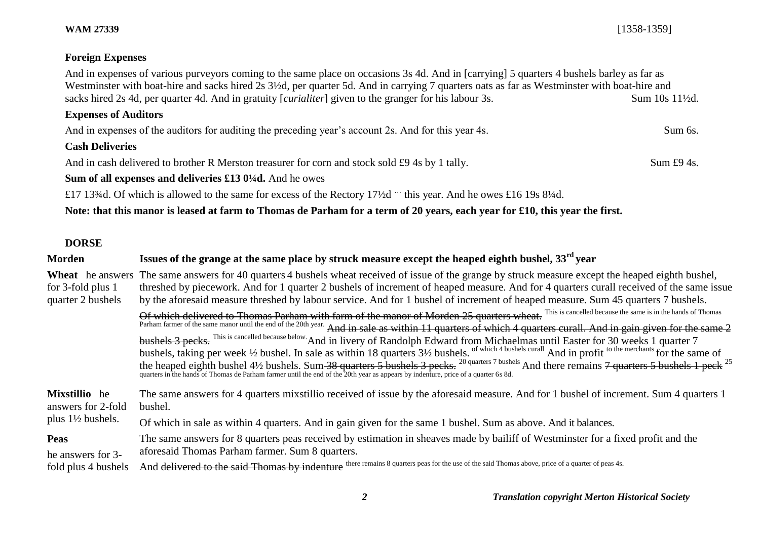**WAM 27339** [1358-1359]

## **Foreign Expenses**

And in expenses of various purveyors coming to the same place on occasions 3s 4d. And in [carrying] 5 quarters 4 bushels barley as far as Westminster with boat-hire and sacks hired 2s 3½d, per quarter 5d. And in carrying 7 quarters oats as far as Westminster with boat-hire and sacks hired 2s 4d, per quarter 4d. And in gratuity [*curialiter*] given to the granger for his labour 3s. Sum 10s 11<sup>1</sup>/2d.

# **Expenses of Auditors**

And in expenses of the auditors for auditing the preceding year's account 2s. And for this year 4s. Sum 6s.

#### **Cash Deliveries**

And in cash delivered to brother R Merston treasurer for corn and stock sold £9 4s by 1 tally. Sum £9 4s. Sum £9 4s.

## **Sum of all expenses and deliveries £13 0¼d.** And he owes

£17 13¾d. Of which is allowed to the same for excess of the Rectory 17½d … this year. And he owes £16 19s 8¼d.

**Note: that this manor is leased at farm to Thomas de Parham for a term of 20 years, each year for £10, this year the first.**

### **DORSE**

| <b>Morden</b>                          | Issues of the grange at the same place by struck measure except the heaped eighth bushel, $33^{rd}$ year                                                                                                                                                                                                                                                                                                                                                                                                                                                                                                                                                                                                                                                                                                                                                                                                                                                                                                                                                                                                                                                                                                                                                                                                                   |
|----------------------------------------|----------------------------------------------------------------------------------------------------------------------------------------------------------------------------------------------------------------------------------------------------------------------------------------------------------------------------------------------------------------------------------------------------------------------------------------------------------------------------------------------------------------------------------------------------------------------------------------------------------------------------------------------------------------------------------------------------------------------------------------------------------------------------------------------------------------------------------------------------------------------------------------------------------------------------------------------------------------------------------------------------------------------------------------------------------------------------------------------------------------------------------------------------------------------------------------------------------------------------------------------------------------------------------------------------------------------------|
| for 3-fold plus 1<br>quarter 2 bushels | Wheat he answers The same answers for 40 quarters 4 bushels wheat received of issue of the grange by struck measure except the heaped eighth bushel,<br>threshed by piecework. And for 1 quarter 2 bushels of increment of heaped measure. And for 4 quarters curall received of the same issue<br>by the aforesaid measure threshed by labour service. And for 1 bushel of increment of heaped measure. Sum 45 quarters 7 bushels.<br>Of which delivered to Thomas Parham with farm of the manor of Morden 25 quarters wheat. This is cancelled because the same is in the hands of Thomas<br>Parham farmer of the same manor until the end of the 20th year. And in sale as within 11 quarters of which 4 quarters curall. And in gain given for the same 2<br>bushels 3 pecks. This is cancelled because below And in livery of Randolph Edward from Michaelmas until Easter for 30 weeks 1 quarter 7<br>bushels, taking per week 1/2 bushel. In sale as within 18 quarters 31/2 bushels. of which 4 bushels curall And in profit to the merchants for the same of<br>the heaped eighth bushel 41/2 bushels. Sum 38 quarters 5 bushels 3 pecks. <sup>20 quarters 7 bushels</sup> And there remains 7 quarters 5 bushels 1 peck <sup>25</sup> quarters in the hands of Thomas de Parham farmer until the end of the 20th |
| Mixstillio he                          | The same answers for 4 quarters mixstillio received of issue by the aforesaid measure. And for 1 bushel of increment. Sum 4 quarters 1                                                                                                                                                                                                                                                                                                                                                                                                                                                                                                                                                                                                                                                                                                                                                                                                                                                                                                                                                                                                                                                                                                                                                                                     |
| answers for 2-fold                     | bushel.                                                                                                                                                                                                                                                                                                                                                                                                                                                                                                                                                                                                                                                                                                                                                                                                                                                                                                                                                                                                                                                                                                                                                                                                                                                                                                                    |
| plus $1\frac{1}{2}$ bushels.           | Of which in sale as within 4 quarters. And in gain given for the same 1 bushel. Sum as above. And it balances.                                                                                                                                                                                                                                                                                                                                                                                                                                                                                                                                                                                                                                                                                                                                                                                                                                                                                                                                                                                                                                                                                                                                                                                                             |
| <b>Peas</b>                            | The same answers for 8 quarters peas received by estimation in sheaves made by bailiff of Westminster for a fixed profit and the                                                                                                                                                                                                                                                                                                                                                                                                                                                                                                                                                                                                                                                                                                                                                                                                                                                                                                                                                                                                                                                                                                                                                                                           |
| he answers for 3-                      | aforesaid Thomas Parham farmer. Sum 8 quarters.                                                                                                                                                                                                                                                                                                                                                                                                                                                                                                                                                                                                                                                                                                                                                                                                                                                                                                                                                                                                                                                                                                                                                                                                                                                                            |
| fold plus 4 bushels                    | And delivered to the said Thomas by indenture there remains 8 quarters peas for the use of the said Thomas above, price of a quarter of peas 4s.                                                                                                                                                                                                                                                                                                                                                                                                                                                                                                                                                                                                                                                                                                                                                                                                                                                                                                                                                                                                                                                                                                                                                                           |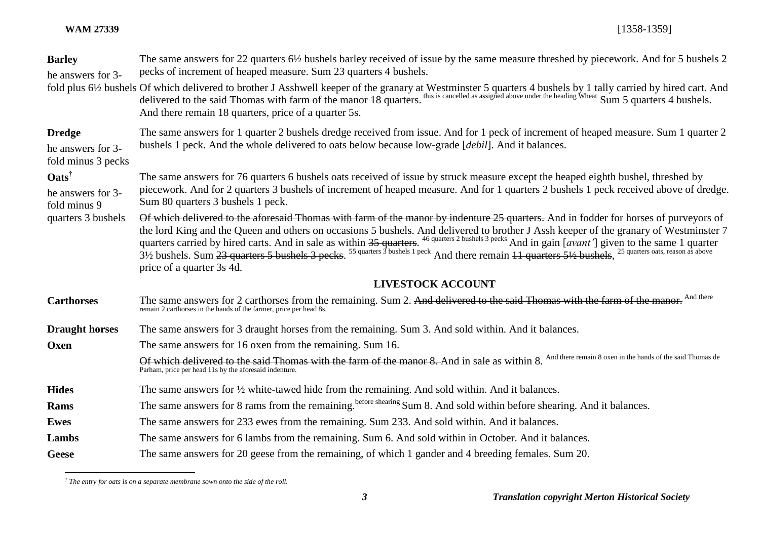| <b>Barley</b><br>he answers for 3-                             | The same answers for 22 quarters 6½ bushels barley received of issue by the same measure threshed by piecework. And for 5 bushels 2<br>pecks of increment of heaped measure. Sum 23 quarters 4 bushels.                                                                                                                                                                                                      |
|----------------------------------------------------------------|--------------------------------------------------------------------------------------------------------------------------------------------------------------------------------------------------------------------------------------------------------------------------------------------------------------------------------------------------------------------------------------------------------------|
|                                                                | fold plus 6½ bushels Of which delivered to brother J Asshwell keeper of the granary at Westminster 5 quarters 4 bushels by 1 tally carried by hired cart. And delivered to the said Thomas with farm of the manor 18 quarters.<br>And there remain 18 quarters, price of a quarter 5s.                                                                                                                       |
| <b>Dredge</b><br>he answers for 3-<br>fold minus 3 pecks       | The same answers for 1 quarter 2 bushels dredge received from issue. And for 1 peck of increment of heaped measure. Sum 1 quarter 2<br>bushels 1 peck. And the whole delivered to oats below because low-grade [debil]. And it balances.                                                                                                                                                                     |
| $\mathbf{Oats}^{\dagger}$<br>he answers for 3-<br>fold minus 9 | The same answers for 76 quarters 6 bushels oats received of issue by struck measure except the heaped eighth bushel, threshed by<br>piecework. And for 2 quarters 3 bushels of increment of heaped measure. And for 1 quarters 2 bushels 1 peck received above of dredge.<br>Sum 80 quarters 3 bushels 1 peck.                                                                                               |
| quarters 3 bushels                                             | Of which delivered to the aforesaid Thomas with farm of the manor by indenture 25 quarters. And in fodder for horses of purveyors of<br>the lord King and the Queen and others on occasions 5 bushels. And delivered to brother J Assh keeper of the granary of Westminster 7 quarters carried by hired carts. And in sale as within $35$ quarters. <sup>46 quarters 2 bu</sup><br>price of a quarter 3s 4d. |
|                                                                | <b>LIVESTOCK ACCOUNT</b>                                                                                                                                                                                                                                                                                                                                                                                     |
| <b>Carthorses</b>                                              | The same answers for 2 carthorses from the remaining. Sum 2. And delivered to the said Thomas with the farm of the manor. And there<br>remain 2 carthorses in the hands of the farmer, price per head 8s.                                                                                                                                                                                                    |
| <b>Draught horses</b>                                          | The same answers for 3 draught horses from the remaining. Sum 3. And sold within. And it balances.                                                                                                                                                                                                                                                                                                           |
| Oxen                                                           | The same answers for 16 oxen from the remaining. Sum 16.                                                                                                                                                                                                                                                                                                                                                     |
|                                                                | Of which delivered to the said Thomas with the farm of the manor 8. And in sale as within 8. And there remain 8 oxen in the hands of the said Thomas de<br>Parham, price per head 11s by the aforesaid indenture.                                                                                                                                                                                            |
| <b>Hides</b>                                                   | The same answers for $\frac{1}{2}$ white-tawed hide from the remaining. And sold within. And it balances.                                                                                                                                                                                                                                                                                                    |
| Rams                                                           | The same answers for 8 rams from the remaining. <sup>before shearing</sup> Sum 8. And sold within before shearing. And it balances.                                                                                                                                                                                                                                                                          |
| Ewes                                                           | The same answers for 233 ewes from the remaining. Sum 233. And sold within. And it balances.                                                                                                                                                                                                                                                                                                                 |
| Lambs                                                          | The same answers for 6 lambs from the remaining. Sum 6. And sold within in October. And it balances.                                                                                                                                                                                                                                                                                                         |
| <b>Geese</b>                                                   | The same answers for 20 geese from the remaining, of which 1 gander and 4 breeding females. Sum 20.                                                                                                                                                                                                                                                                                                          |

 *† The entry for oats is on a separate membrane sown onto the side of the roll.*